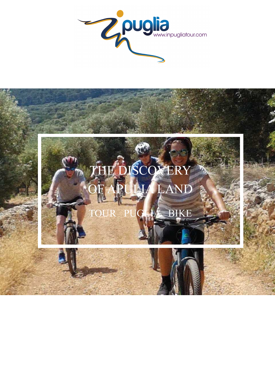

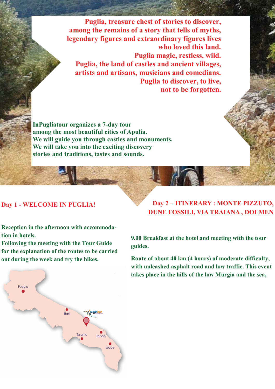**Puglia, treasure chest of stories to discover, among the remains of a story that tells of myths, legendary figures and extraordinary figures lives who loved this land. Puglia magic, restless, wild. Puglia, the land of castles and ancient villages, artists and artisans, musicians and comedians. Puglia to discover, to live, not to be forgotten.** 

**InPugliatour organizes a 7-day tour among the most beautiful cities of Apulia. We will guide you through castles and monuments. We will take you into the exciting discovery stories and traditions, tastes and sounds.** 

### **Day 1 - WELCOME IN PUGLIA!**

**Reception in the afternoon with accommodation in hotels.** 

**Following the meeting with the Tour Guide for the explanation of the routes to be carried out during the week and try the bikes.** 



**9.00 Breakfast at the hotel and meeting with the tour guides.** 

**Route of about 40 km (4 hours) of moderate difficulty, with unleashed asphalt road and low traffic. This event takes place in the hills of the low Murgia and the sea,** 

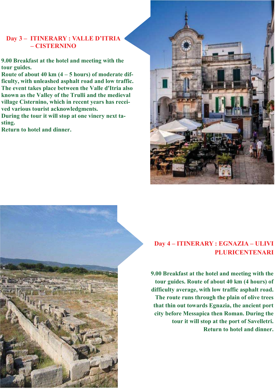## **Day 3 – ITINERARY : VALLE D'ITRIA – CISTERNINO**

**9.00 Breakfast at the hotel and meeting with the tour guides.** 

**Route of about 40 km (4 – 5 hours) of moderate difficulty, with unleashed asphalt road and low traffic. The event takes place between the Valle d'Itria also known as the Valley of the Trulli and the medieval village Cisternino, which in recent years has received various tourist acknowledgments.** 

**During the tour it will stop at one vinery next tasting.** 

**Return to hotel and dinner.** 



# **Day 4 – ITINERARY : EGNAZIA – ULIVI PLURICENTENARI**

**9.00 Breakfast at the hotel and meeting with the tour guides. Route of about 40 km (4 hours) of difficulty average, with low traffic asphalt road. The route runs through the plain of olive trees that thin out towards Egnazia, the ancient port city before Messapica then Roman. During the tour it will stop at the port of Savelletri. Return to hotel and dinner.**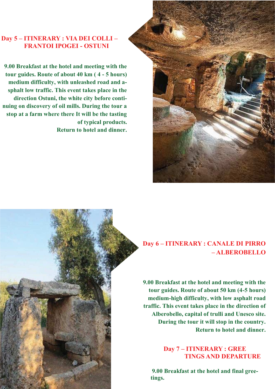## **Day 5 – ITINERARY : VIA DEI COLLI – FRANTOI IPOGEI - OSTUNI**

**9.00 Breakfast at the hotel and meeting with the tour guides. Route of about 40 km ( 4 - 5 hours) medium difficulty, with unleashed road and asphalt low traffic. This event takes place in the direction Ostuni, the white city before continuing on discovery of oil mills. During the tour a stop at a farm where there It will be the tasting of typical products. Return to hotel and dinner.** 



**9.00 Breakfast at the hotel and meeting with the tour guides. Route of about 50 km (4-5 hours) medium-high difficulty, with low asphalt road traffic. This event takes place in the direction of Alberobello, capital of trulli and Unesco site. During the tour it will stop in the country. Return to hotel and dinner.** 

> **Day 7 – ITINERARY : GREE TINGS AND DEPARTURE**

 **9.00 Breakfast at the hotel and final greetings.**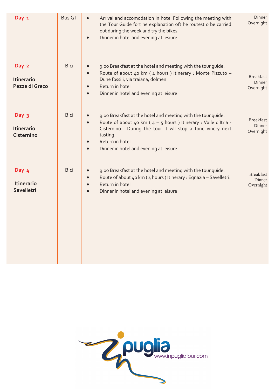| Day 1                                        | <b>Bus GT</b> | Arrival and accomodation in hotel Following the meeting with<br>$\bullet$<br>the Tour Guide fort he explanation oft he routest o be carried<br>out during the week and try the bikes.<br>Dinner in hotel and evening at lesiure                                                                     | Dinner<br>Overnight                            |
|----------------------------------------------|---------------|-----------------------------------------------------------------------------------------------------------------------------------------------------------------------------------------------------------------------------------------------------------------------------------------------------|------------------------------------------------|
| Day 2<br><b>Itinerario</b><br>Pezze di Greco | <b>Bici</b>   | 9.00 Breakfast at the hotel and meeting with the tour guide.<br>$\bullet$<br>Route of about 40 km (4 hours) Itinerary : Monte Pizzuto -<br>$\bullet$<br>Dune fossili, via traiana, dolmen<br>Return in hotel<br>Dinner in hotel and evening at leisure<br>$\bullet$                                 | <b>Breakfast</b><br><b>Dinner</b><br>Overnight |
| Day 3<br><b>Itinerario</b><br>Cisternino     | <b>Bici</b>   | 9.00 Breakfast at the hotel and meeting with the tour guide.<br>$\bullet$<br>Route of about 40 km ( $4 - 5$ hours) Itinerary : Valle d'Itria -<br>Cisternino . During the tour it wll stop a tone vinery next<br>tasting.<br>Return in hotel<br>Dinner in hotel and evening at leisure<br>$\bullet$ | <b>Breakfast</b><br>Dinner<br>Overnight        |
| Day 4<br><b>Itinerario</b><br>Savelletri     | <b>Bici</b>   | 9.00 Breakfast at the hotel and meeting with the tour guide.<br>$\bullet$<br>Route of about 40 km (4 hours) Itinerary : Egnazia - Savelletri.<br>$\bullet$<br>Return in hotel<br>$\bullet$<br>Dinner in hotel and evening at leisure<br>$\bullet$                                                   | <b>Breakfast</b><br>Dinner<br>Overnight        |